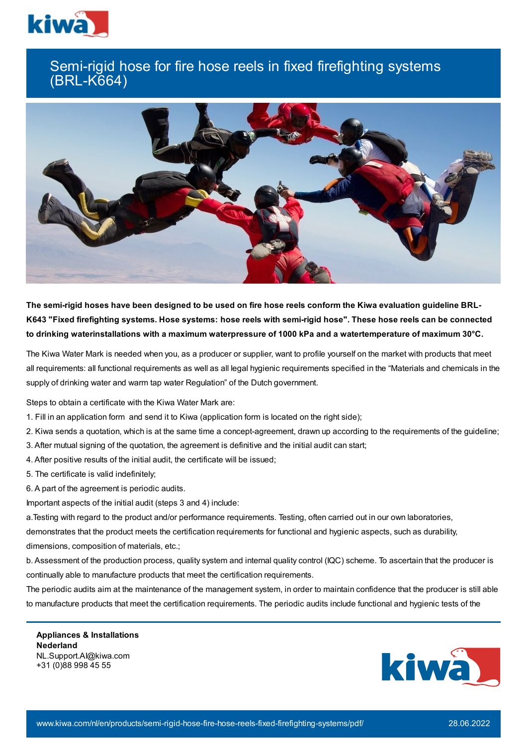

## Semi-rigid hose for fire hose reels in fixed firefighting systems (BRL-K664)



The semi-rigid hoses have been designed to be used on fire hose reels conform the Kiwa evaluation guideline BRL-K643 "Fixed firefighting systems. Hose systems: hose reels with semi-rigid hose". These hose reels can be connected **to drinking waterinstallations with a maximum waterpressure of 1000 kPa and a watertemperature of maximum 30°C.**

The Kiwa Water Mark is needed when you, as a producer or supplier, want to profile yourself on the market with products that meet all requirements: all functional requirements as well as all legal hygienic requirements specified in the "Materials and chemicals in the supply of drinking water and warm tap water Regulation" of the Dutch government.

Steps to obtain a certificate with the Kiwa Water Mark are:

- 1. Fill in an application form and send it to Kiwa (application form is located on the right side);
- 2. Kiwa sends a quotation, which is at the same time a concept-agreement, drawn up according to the requirements of the guideline;
- 3. After mutual signing of the quotation, the agreement is definitive and the initial audit can start;
- 4. After positive results of the initial audit, the certificate will be issued;
- 5. The certificate is valid indefinitely;
- 6. A part of the agreement is periodic audits.

Important aspects of the initial audit (steps 3 and 4) include:

a.Testing with regard to the product and/or performance requirements. Testing, often carried out in our own laboratories, demonstrates that the product meets the certification requirements for functional and hygienic aspects, such as durability, dimensions, composition of materials, etc.;

b. Assessment of the production process, quality system and internal quality control (IQC) scheme. To ascertain that the producer is continually able to manufacture products that meet the certification requirements.

The periodic audits aim at the maintenance of the management system, in order to maintain confidence that the producer is still able to manufacture products that meet the certification requirements. The periodic audits include functional and hygienic tests of the

**Appliances & Installations Nederland** NL.Support.AI@kiwa.com +31 (0)88 998 45 55